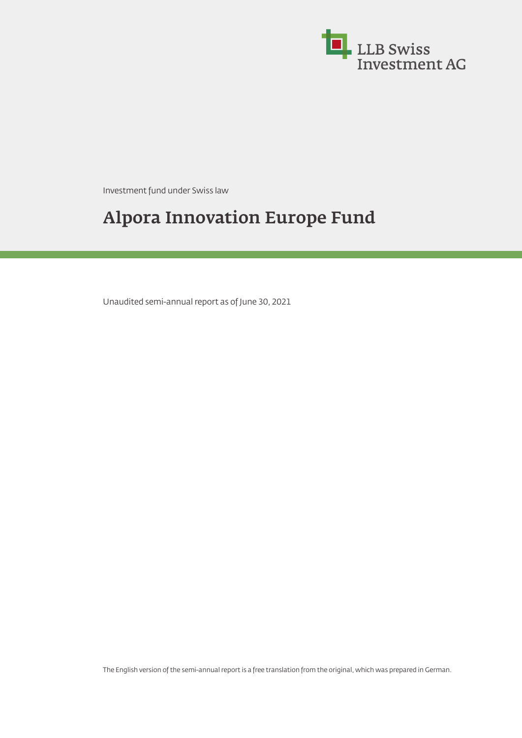

Investment fund under Swiss law

# **Alpora Innovation Europe Fund**

Unaudited semi-annual report as of June 30, 2021

The English version of the semi-annual report is a free translation from the original, which was prepared in German.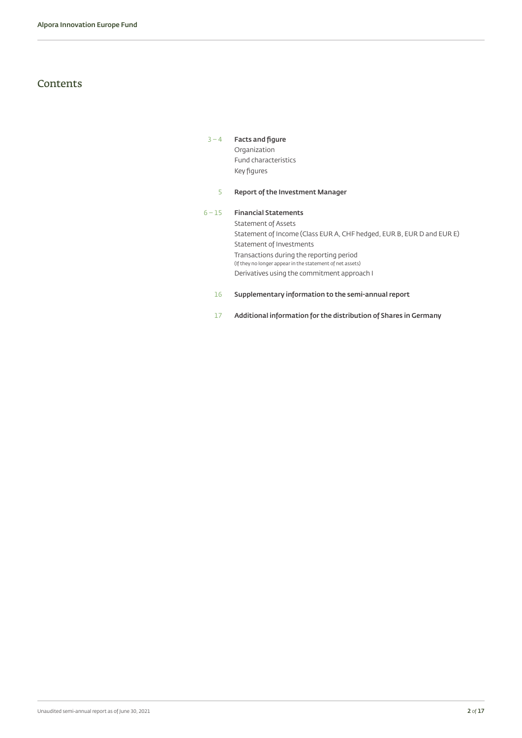### **Contents**

#### [3](#page-2-0) – [4](#page-3-0) **[Facts and figure](#page-2-1)** Organization Fund characteristics

Key figures

#### [5](#page-4-0) **[Report of the Investment Manager](#page-4-1)**

#### 6 – [15](#page-14-0) **[Financial Statements](#page-5-0)** Statement of Assets Statement of Income (Class EUR A, CHF hedged, EUR B, EUR D and EUR E) Statement of Investments Transactions during the reporting period (If they no longer appear in the statement of net assets) Derivatives using the commitment approach I

#### 16 **[Supplementary information to the semi-annual report](#page-15-0)**

[17](#page-16-0) **[Additional information for the distribution of Shares in Germany](#page-16-1)**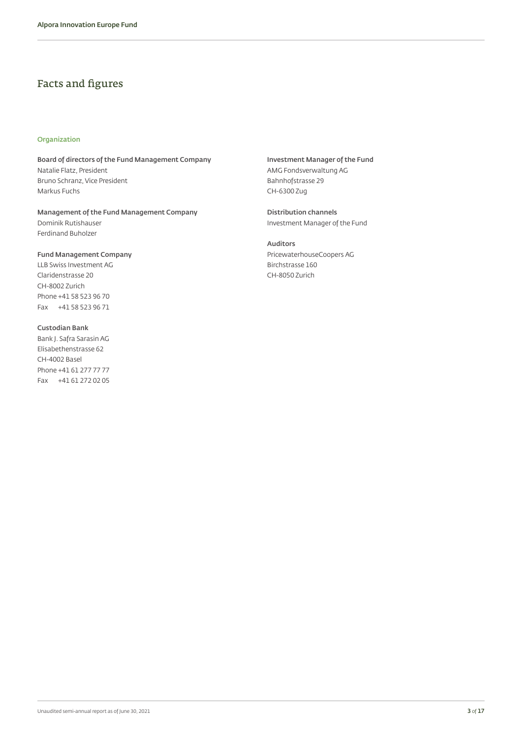### <span id="page-2-1"></span>Facts and figures

#### **Organization**

**Board of directors of the Fund Management Company** Natalie Flatz, President Bruno Schranz, Vice President Markus Fuchs

**Management of the Fund Management Company** Dominik Rutishauser Ferdinand Buholzer

**Fund Management Company** LLB Swiss Investment AG Claridenstrasse 20 CH-8002 Zurich Phone +41 58 523 96 70 Fax +41 58 523 96 71

**Custodian Bank** Bank J. Safra Sarasin AG Elisabethenstrasse 62 CH-4002 Basel Phone +41 61 277 77 77 Fax +41 61 272 02 05 <span id="page-2-0"></span>**Investment Manager of the Fund** AMG Fondsverwaltung AG Bahnhofstrasse 29 CH-6300 Zug

**Distribution channels** Investment Manager of the Fund

**Auditors** PricewaterhouseCoopers AG Birchstrasse 160 CH-8050 Zurich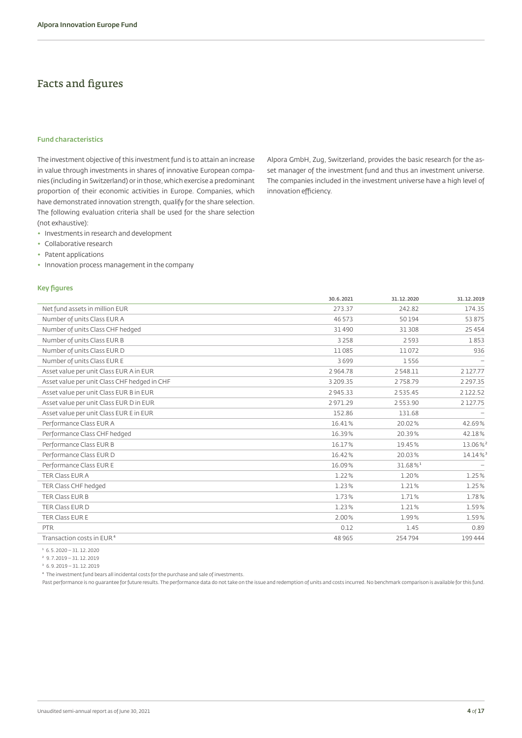### Facts and figures

#### **Fund characteristics**

The investment objective of this investment fund is to attain an increase in value through investments in shares of innovative European companies (including in Switzerland) or in those, which exercise a predominant proportion of their economic activities in Europe. Companies, which have demonstrated innovation strength, qualify for the share selection. The following evaluation criteria shall be used for the share selection (not exhaustive):

- ◆ Investments in research and development
- ◆ Collaborative research
- ◆ Patent applications
- ◆ Innovation process management in the company

#### **Key figures**

<span id="page-3-0"></span>Alpora GmbH, Zug, Switzerland, provides the basic research for the asset manager of the investment fund and thus an investment universe. The companies included in the investment universe have a high level of innovation efficiency.

|                                              | 30.6.2021     | 31.12.2020             | 31.12.2019    |
|----------------------------------------------|---------------|------------------------|---------------|
| Net fund assets in million EUR               | 273.37        | 242.82                 | 174.35        |
| Number of units Class EUR A                  | 46 573        | 50194                  | 53875         |
| Number of units Class CHF hedged             | 31490         | 31 308                 | 25454         |
| Number of units Class EUR B                  | 3 2 5 8       | 2593                   | 1853          |
| Number of units Class EUR D                  | 11085         | 11072                  | 936           |
| Number of units Class EUR E                  | 3699          | 1556                   |               |
| Asset value per unit Class EUR A in EUR      | 2964.78       | 2548.11                | 2127.77       |
| Asset value per unit Class CHF hedged in CHF | 3 209.35      | 2758.79                | 2 2 9 7 . 3 5 |
| Asset value per unit Class EUR B in EUR      | 2 9 4 5 . 3 3 | 2535.45                | 2122.52       |
| Asset value per unit Class EUR D in EUR      | 2971.29       | 2553.90                | 2127.75       |
| Asset value per unit Class EUR E in EUR      | 152.86        | 131.68                 |               |
| Performance Class EUR A                      | 16.41%        | 20.02%                 | 42.69%        |
| Performance Class CHF hedged                 | 16.39%        | 20.39%                 | 42.18%        |
| Performance Class EUR B                      | 16.17%        | 19.45%                 | 13.06%        |
| Performance Class EUR D                      | 16.42%        | 20.03%                 | 14.14%        |
| Performance Class EUR E                      | 16.09%        | $31.68\%$ <sup>1</sup> |               |
| <b>TER Class EUR A</b>                       | 1.22%         | 1.20%                  | 1.25%         |
| TER Class CHF hedged                         | 1.23%         | 1.21%                  | 1.25%         |
| <b>TER Class EUR B</b>                       | 1.73%         | 1.71%                  | 1.78%         |
| TER Class EUR D                              | 1.23%         | 1.21%                  | 1.59%         |
| TER Class EUR E                              | 2.00%         | 1.99%                  | 1.59%         |
| <b>PTR</b>                                   | 0.12          | 1.45                   | 0.89          |
| Transaction costs in EUR <sup>4</sup>        | 48 9 65       | 254794                 | 199 444       |
|                                              |               |                        |               |

 $1\,6.5.2020 - 31.12.2020$ 

² 9.7.2019 – 31.12.2019  $3, 6.9.2019 - 31.12.2019$ 

⁴ The investment fund bears all incidental costs for the purchase and sale of investments.

Past performance is no guarantee for future results. The performance data do not take on the issue and redemption of units and costs incurred. No benchmark comparison is available for this fund.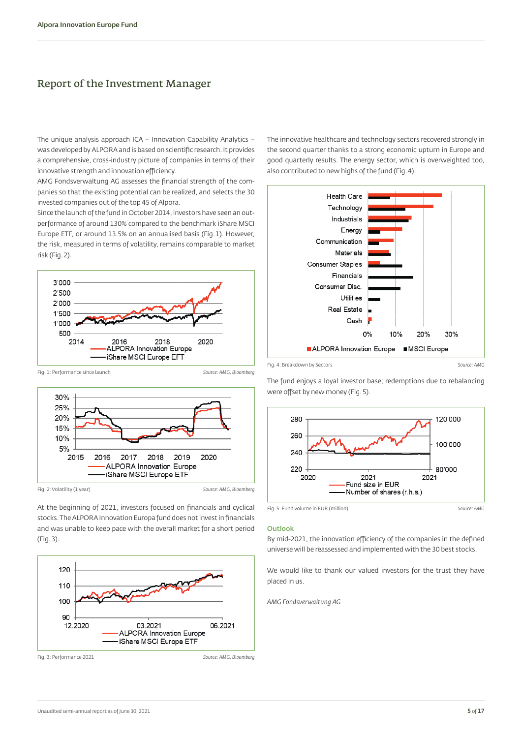### <span id="page-4-1"></span>Report of the Investment Manager

The unique analysis approach ICA – Innovation Capability Analytics – was developed by ALPORA and is based on scientific research. It provides a comprehensive, cross-industry picture of companies in terms of their innovative strength and innovation efficiency.

AMG Fondsverwaltung AG assesses the financial strength of the companies so that the existing potential can be realized, and selects the 30 invested companies out of the top 45 of Alpora.

Since the launch of the fund in October 2014, investors have seen an outperformance of around 130% compared to the benchmark iShare MSCI Europe ETF, or around 13.5% on an annualised basis (Fig.1). However, the risk, measured in terms of volatility, remains comparable to market risk (Fig.2).



Fig. 1: Performance since launch *Source: AMG, Bloomberg*



At the beginning of 2021, investors focused on financials and cyclical stocks. The ALPORA Innovation Europa fund does not invest in financials and was unable to keep pace with the overall market for a short period (Fig.3).



<span id="page-4-0"></span>The innovative healthcare and technology sectors recovered strongly in the second quarter thanks to a strong economic upturn in Europe and good quarterly results. The energy sector, which is overweighted too, also contributed to new highs of the fund (Fig.4).



were offset by new money (Fig.5).

The fund enjoys a loyal investor base; redemptions due to rebalancing



Fig. 5. Fund volume in EUR (million) *Source: AMG*

#### **Outlook**

By mid-2021, the innovation efficiency of the companies in the defined universe will be reassessed and implemented with the 30 best stocks.

We would like to thank our valued investors for the trust they have placed in us.

*AMG Fondsverwaltung AG*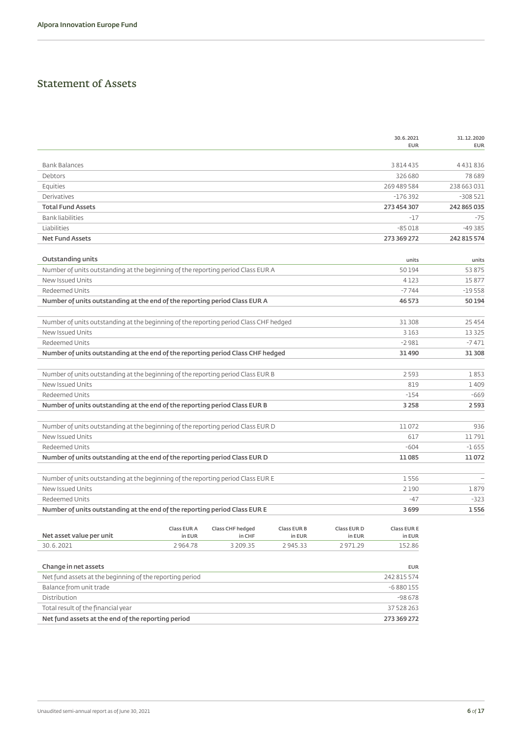# <span id="page-5-0"></span>Statement of Assets

|                                                                                       |             |                  |             |             | 30.6.2021<br><b>EUR</b> | 31.12.2020<br><b>EUR</b> |
|---------------------------------------------------------------------------------------|-------------|------------------|-------------|-------------|-------------------------|--------------------------|
| <b>Bank Balances</b>                                                                  |             |                  |             |             | 3 8 1 4 4 3 5           | 4431836                  |
| Debtors                                                                               |             |                  |             |             | 326 680                 | 78689                    |
| Equities                                                                              |             |                  |             |             | 269 489 584             | 238 663 031              |
| Derivatives                                                                           |             |                  |             |             | $-176392$               | $-308521$                |
| <b>Total Fund Assets</b>                                                              |             |                  |             |             | 273 454 307             | 242 865 035              |
| <b>Bank liabilities</b>                                                               |             |                  |             |             | $-17$                   | $-75$                    |
| Liabilities                                                                           |             |                  |             |             | $-85018$                | $-49385$                 |
| <b>Net Fund Assets</b>                                                                |             |                  |             |             | 273 369 272             | 242 815 574              |
| <b>Outstanding units</b>                                                              |             |                  |             |             | units                   | units                    |
| Number of units outstanding at the beginning of the reporting period Class EUR A      |             |                  |             |             | 50194                   | 53875                    |
| New Issued Units                                                                      |             |                  |             |             | 4123                    | 15877                    |
| Redeemed Units                                                                        |             |                  |             |             | $-7744$                 | $-19558$                 |
| Number of units outstanding at the end of the reporting period Class EUR A            |             |                  |             |             | 46 573                  | 50 194                   |
|                                                                                       |             |                  |             |             |                         |                          |
| Number of units outstanding at the beginning of the reporting period Class CHF hedged |             |                  |             |             | 31 308                  | 25 4 5 4                 |
| New Issued Units                                                                      |             |                  |             |             | 3163                    | 13325                    |
| Redeemed Units                                                                        |             |                  |             |             | $-2981$                 | $-7471$                  |
| Number of units outstanding at the end of the reporting period Class CHF hedged       |             |                  |             |             | 31490                   | 31 30 8                  |
|                                                                                       |             |                  |             |             |                         |                          |
| Number of units outstanding at the beginning of the reporting period Class EUR B      |             |                  |             |             | 2593                    | 1853                     |
| New Issued Units                                                                      |             |                  |             |             | 819                     | 1409                     |
| <b>Redeemed Units</b>                                                                 |             |                  |             |             | $-154$                  | $-669$                   |
| Number of units outstanding at the end of the reporting period Class EUR B            |             |                  |             |             | 3 2 5 8                 | 2593                     |
| Number of units outstanding at the beginning of the reporting period Class EUR D      |             |                  |             |             | 11072                   | 936                      |
| New Issued Units                                                                      |             |                  |             |             | 617                     | 11791                    |
| Redeemed Units                                                                        |             |                  |             |             | $-604$                  | $-1655$                  |
| Number of units outstanding at the end of the reporting period Class EUR D            |             |                  |             |             | 11085                   | 11072                    |
|                                                                                       |             |                  |             |             |                         |                          |
| Number of units outstanding at the beginning of the reporting period Class EUR E      |             |                  |             |             | 1556                    |                          |
| New Issued Units                                                                      |             |                  |             |             | 2190                    | 1879                     |
| Redeemed Units                                                                        |             |                  |             |             | $-47$                   | $-323$                   |
| Number of units outstanding at the end of the reporting period Class EUR E            |             |                  |             |             | 3699                    | 1556                     |
|                                                                                       | Class EUR A | Class CHF hedged | Class EUR B | Class EUR D | Class EUR E             |                          |
| Net asset value per unit                                                              | in EUR      | in CHF           | in EUR      | in EUR      | in EUR                  |                          |
| 30.6.2021                                                                             | 2964.78     | 3 209.35         | 2945.33     | 2971.29     | 152.86                  |                          |
| Change in net assets                                                                  |             |                  |             |             |                         |                          |
|                                                                                       |             |                  |             |             | <b>EUR</b>              |                          |

| Net fund assets at the end of the reporting period       | 273 369 272 |
|----------------------------------------------------------|-------------|
| Total result of the financial year                       | 37 528 263  |
| Distribution                                             | $-98678$    |
| Balance from unit trade                                  | $-6880155$  |
| Net fund assets at the beginning of the reporting period | 242 815 574 |
|                                                          |             |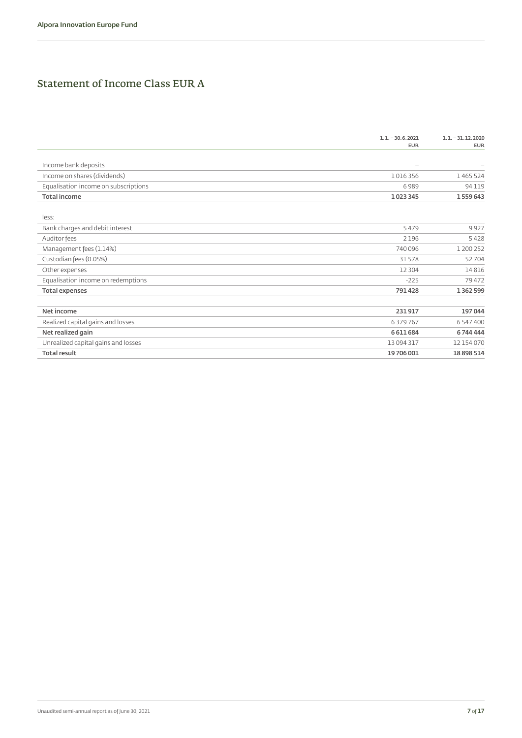# Statement of Income Class EUR A

| Income bank deposits<br>$-$<br>Income on shares (dividends)<br>1016356<br>Equalisation income on subscriptions<br>6989<br><b>Total income</b><br>1023345 | 1465524<br>94119 |
|----------------------------------------------------------------------------------------------------------------------------------------------------------|------------------|
|                                                                                                                                                          |                  |
|                                                                                                                                                          |                  |
|                                                                                                                                                          |                  |
|                                                                                                                                                          |                  |
|                                                                                                                                                          | 1559643          |
| less:                                                                                                                                                    |                  |
| Bank charges and debit interest<br>5479                                                                                                                  | 9927             |
| Auditor fees<br>2196                                                                                                                                     | 5428             |
| Management fees (1.14%)<br>740096                                                                                                                        | 1 200 252        |
| Custodian fees (0.05%)<br>31578                                                                                                                          | 52704            |
| Other expenses<br>12 3 04                                                                                                                                | 14816            |
| Equalisation income on redemptions<br>$-225$                                                                                                             | 79472            |
| 791428<br><b>Total expenses</b>                                                                                                                          | 1 3 6 2 5 9 9    |
| Net income<br>231917                                                                                                                                     | 197044           |
| Realized capital gains and losses<br>6379767                                                                                                             | 6 547 400        |
| Net realized gain<br>6611684                                                                                                                             | 6744444          |
| Unrealized capital gains and losses<br>13094317                                                                                                          | 12 154 070       |
| <b>Total result</b><br>19706001                                                                                                                          |                  |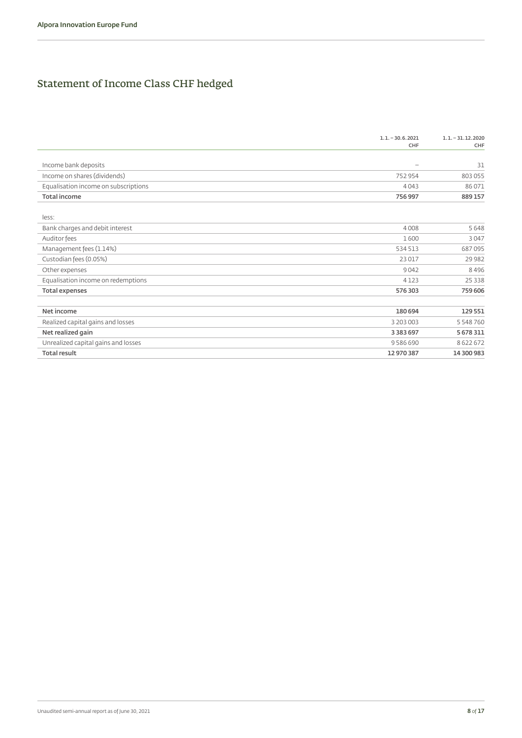# Statement of Income Class CHF hedged

|                                      | $1.1 - 30.6.2021$<br>CHF | $1.1 - 31.12.2020$<br>CHF |
|--------------------------------------|--------------------------|---------------------------|
|                                      |                          |                           |
| Income bank deposits                 | $\overline{\phantom{0}}$ | 31                        |
| Income on shares (dividends)         | 752954                   | 803055                    |
| Equalisation income on subscriptions | 4043                     | 86071                     |
| <b>Total income</b>                  | 756 997                  | 889157                    |
| less:                                |                          |                           |
| Bank charges and debit interest      | 4008                     | 5648                      |
| Auditor fees                         | 1600                     | 3047                      |
| Management fees (1.14%)              | 534 513                  | 687095                    |
| Custodian fees (0.05%)               | 23017                    | 29982                     |
| Other expenses                       | 9042                     | 8496                      |
| Equalisation income on redemptions   | 4 1 2 3                  | 25 3 3 8                  |
| <b>Total expenses</b>                | 576 303                  | 759 606                   |
| Net income                           | 180 694                  | 129551                    |
| Realized capital gains and losses    | 3 203 003                | 5 548 760                 |
| Net realized gain                    | 3 3 8 3 6 9 7            | 5 678 311                 |
| Unrealized capital gains and losses  | 9586690                  | 8622672                   |
| <b>Total result</b>                  | 12 970 387               | 14 300 983                |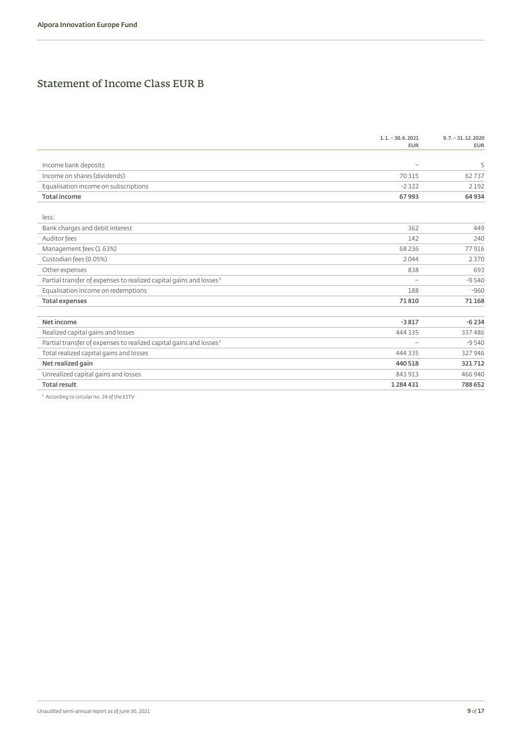# Statement of Income Class EUR B

|                                                                                | $1.1 - 30.6.2021$<br><b>EUR</b> | $9.7 - 31.12.2020$<br><b>EUR</b> |
|--------------------------------------------------------------------------------|---------------------------------|----------------------------------|
|                                                                                |                                 |                                  |
| Income bank deposits                                                           | $-$                             | 5                                |
| Income on shares (dividends)                                                   | 70315                           | 62737                            |
| Equalisation income on subscriptions                                           | $-2322$                         | 2192                             |
| <b>Total income</b>                                                            | 67993                           | 64934                            |
| less:                                                                          |                                 |                                  |
| Bank charges and debit interest                                                | 362                             | 449                              |
| Auditor fees                                                                   | 142                             | 240                              |
| Management fees (1.63%)                                                        | 68 2 3 6                        | 77916                            |
| Custodian fees (0.05%)                                                         | 2044                            | 2370                             |
| Other expenses                                                                 | 838                             | 693                              |
| Partial transfer of expenses to realized capital gains and losses <sup>1</sup> | $\overline{\phantom{0}}$        | $-9540$                          |
| Equalisation income on redemptions                                             | 188                             | $-960$                           |
| <b>Total expenses</b>                                                          | 71810                           | 71168                            |
| Net income                                                                     | $-3817$                         | $-6234$                          |
| Realized capital gains and losses                                              | 444 335                         | 337486                           |
| Partial transfer of expenses to realized capital gains and losses <sup>1</sup> | $\overline{\phantom{0}}$        | $-9540$                          |
| Total realized capital gains and losses                                        | 444 335                         | 327946                           |
| Net realized gain                                                              | 440 518                         | 321712                           |
| Unrealized capital gains and losses                                            | 843 913                         | 466 940                          |
| <b>Total result</b>                                                            | 1284431                         | 788652                           |
|                                                                                |                                 |                                  |

 $1$  According to circular no. 24 of the ESTV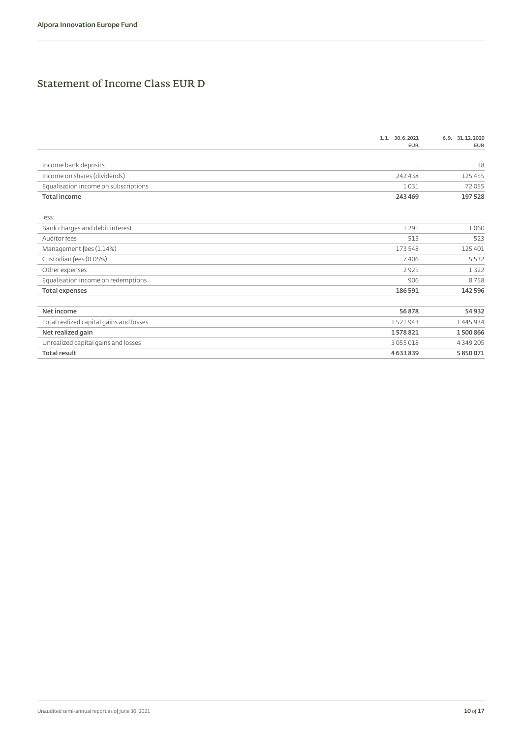# Statement of Income Class EUR D

|                                         | $1.1 - 30.6.2021$<br><b>EUR</b> | $6.9 - 31.12.2020$<br><b>EUR</b> |
|-----------------------------------------|---------------------------------|----------------------------------|
| Income bank deposits                    | $-$                             | 18                               |
| Income on shares (dividends)            | 242438                          | 125455                           |
| Equalisation income on subscriptions    | 1031                            | 72055                            |
| <b>Total income</b>                     | 243 469                         | 197528                           |
| less:                                   |                                 |                                  |
| Bank charges and debit interest         | 1291                            | 1060                             |
| Auditor fees                            | 515                             | 523                              |
| Management fees (1.14%)                 | 173 548                         | 125401                           |
| Custodian fees (0.05%)                  | 7406                            | 5532                             |
| Other expenses                          | 2925                            | 1322                             |
| Equalisation income on redemptions      | 906                             | 8758                             |
| <b>Total expenses</b>                   | 186 591                         | 142 596                          |
| Net income                              | 56878                           | 54932                            |
| Total realized capital gains and losses | 1521943                         | 1445934                          |
| Net realized gain                       | 1578821                         | 1500866                          |
| Unrealized capital gains and losses     | 3055018                         | 4 3 4 9 2 0 5                    |
| <b>Total result</b>                     | 4633839                         | 5850071                          |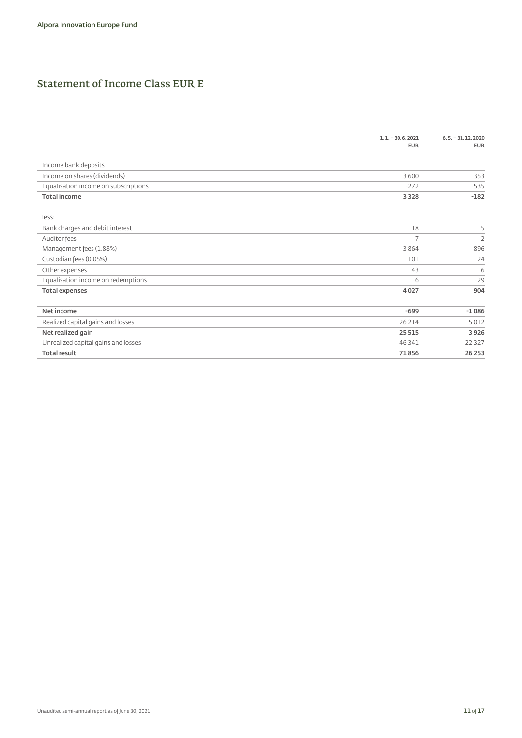# Statement of Income Class EUR E

|                                      | $1.1 - 30.6.2021$<br><b>EUR</b> | $6.5 - 31.12.2020$<br><b>EUR</b> |
|--------------------------------------|---------------------------------|----------------------------------|
| Income bank deposits                 | $\overline{\phantom{0}}$        |                                  |
| Income on shares (dividends)         | 3 6 0 0                         | 353                              |
| Equalisation income on subscriptions | $-272$                          | $-535$                           |
| <b>Total income</b>                  | 3 3 2 8                         | $-182$                           |
| less:                                |                                 |                                  |
| Bank charges and debit interest      | 18                              | 5                                |
| Auditor fees                         | $\overline{7}$                  | $\overline{2}$                   |
| Management fees (1.88%)              | 3864                            | 896                              |
| Custodian fees (0.05%)               | 101                             | 24                               |
| Other expenses                       | 43                              | 6                                |
| Equalisation income on redemptions   | $-6$                            | $-29$                            |
| <b>Total expenses</b>                | 4027                            | 904                              |
| Net income                           | $-699$                          | $-1086$                          |
| Realized capital gains and losses    | 26 214                          | 5012                             |
| Net realized gain                    | 25 5 15                         | 3926                             |
| Unrealized capital gains and losses  | 46 341                          | 22 3 2 7                         |
| <b>Total result</b>                  | 71856                           | 26 25 3                          |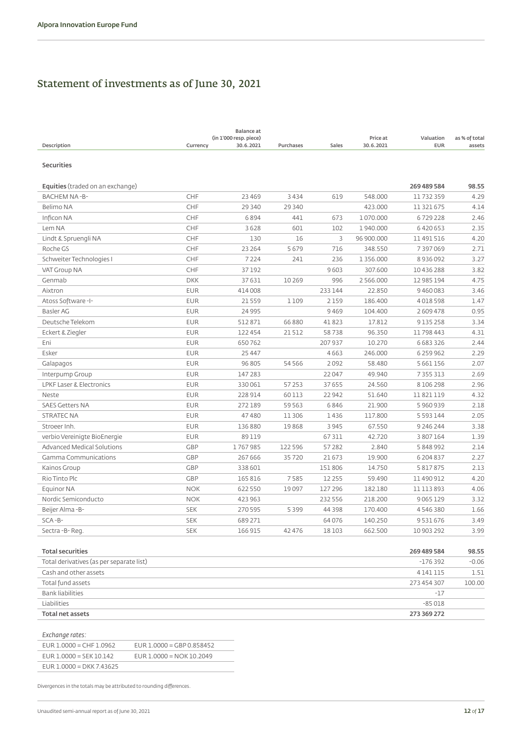# Statement of investments as of June 30, 2021

| Description<br>Currency                         | <b>Balance</b> at<br>(in 1'000 resp. piece)<br>30.6.2021 | Purchases | Sales    | Price at<br>30.6.2021 | Valuation<br><b>EUR</b> | as % of total<br>assets |
|-------------------------------------------------|----------------------------------------------------------|-----------|----------|-----------------------|-------------------------|-------------------------|
| <b>Securities</b>                               |                                                          |           |          |                       |                         |                         |
| <b>Equities</b> (traded on an exchange)         |                                                          |           |          |                       | 269 489 584             | 98.55                   |
| CHF<br><b>BACHEM NA-B-</b>                      | 23 4 6 9                                                 | 3434      | 619      | 548.000               | 11732359                | 4.29                    |
| Belimo NA<br><b>CHF</b>                         | 29 340                                                   | 29 340    |          | 423.000               | 11 321 675              | 4.14                    |
| CHF<br>Inficon NA                               | 6894                                                     | 441       | 673      | 1070.000              | 6729228                 | 2.46                    |
| CHF<br>Lem NA                                   | 3628                                                     | 601       | 102      | 1940.000              | 6420653                 | 2.35                    |
| CHF<br>Lindt & Spruengli NA                     | 130                                                      | 16        | 3        | 96 900.000            | 11491516                | 4.20                    |
| CHF<br>Roche GS                                 | 23 2 64                                                  | 5679      | 716      | 348.550               | 7397069                 | 2.71                    |
| CHF<br>Schweiter Technologies I                 | 7 2 2 4                                                  | 241       | 236      | 1 3 5 6 . 0 0 0       | 8936092                 | 3.27                    |
| CHF<br>VAT Group NA                             | 37192                                                    |           | 9603     | 307.600               | 10436288                | 3.82                    |
| Genmab<br><b>DKK</b>                            | 37631                                                    | 10269     | 996      | 2 5 6 6 . 0 0 0       | 12 985 194              | 4.75                    |
| Aixtron<br><b>EUR</b>                           | 414008                                                   |           | 233 144  | 22.850                | 9460083                 | 3.46                    |
| <b>EUR</b><br>Atoss Software-I-                 | 21559                                                    | 1109      | 2159     | 186,400               | 4018598                 | 1.47                    |
| <b>EUR</b><br>Basler AG                         | 24 9 95                                                  |           | 9469     | 104,400               | 2609478                 | 0.95                    |
| Deutsche Telekom<br><b>EUR</b>                  | 512871                                                   | 66 8 8 0  | 41823    | 17.812                | 9135258                 | 3.34                    |
| <b>EUR</b><br>Eckert & Ziegler                  | 122 454                                                  | 21512     | 58738    | 96.350                | 11798443                | 4.31                    |
| <b>EUR</b><br>Eni                               | 650762                                                   |           | 207 937  | 10.270                | 6 683 326               | 2.44                    |
| Esker<br><b>EUR</b>                             | 25 4 4 7                                                 |           | 4663     | 246.000               | 6 259 962               | 2.29                    |
| <b>EUR</b><br>Galapagos                         | 96 805                                                   | 54 5 6 6  | 2092     | 58.480                | 5 661 156               | 2.07                    |
| <b>EUR</b><br>Interpump Group                   | 147 283                                                  |           | 22047    | 49.940                | 7 3 5 5 3 1 3           | 2.69                    |
| <b>EUR</b><br>LPKF Laser & Electronics          | 330061                                                   | 57253     | 37 655   | 24.560                | 8106298                 | 2.96                    |
| <b>EUR</b><br>Neste                             | 228 914                                                  | 60113     | 22942    | 51.640                | 11821119                | 4.32                    |
| <b>SAES Getters NA</b><br><b>EUR</b>            | 272189                                                   | 59 5 63   | 6846     | 21.900                | 5960939                 | 2.18                    |
| <b>EUR</b><br><b>STRATEC NA</b>                 | 47480                                                    | 11306     | 1436     | 117.800               | 5 5 9 3 1 4 4           | 2.05                    |
| <b>EUR</b><br>Stroeer Inh.                      | 136 880                                                  | 19868     | 3 9 4 5  | 67.550                | 9 246 244               | 3.38                    |
| <b>EUR</b><br>verbio Vereinigte BioEnergie      | 89119                                                    |           | 67311    | 42.720                | 3 807 164               | 1.39                    |
| <b>Advanced Medical Solutions</b><br><b>GBP</b> | 1767985                                                  | 122 596   | 57282    | 2.840                 | 5848992                 | 2.14                    |
| GBP<br>Gamma Communications                     | 267 666                                                  | 35720     | 21 673   | 19.900                | 6 204 837               | 2.27                    |
| <b>GBP</b><br>Kainos Group                      | 338 601                                                  |           | 151806   | 14.750                | 5 817 875               | 2.13                    |
| GBP<br>Rio Tinto Plc                            | 165 816                                                  | 7585      | 12 2 5 5 | 59.490                | 11 490 912              | 4.20                    |
| <b>NOK</b><br>Equinor NA                        | 622 550                                                  | 19097     | 127 296  | 182.180               | 11 113 893              | 4.06                    |
| <b>NOK</b><br>Nordic Semiconducto               | 423 963                                                  |           | 232 556  | 218,200               | 9065129                 | 3.32                    |
| Beijer Alma-B-<br><b>SEK</b>                    | 270595                                                   | 5399      | 44 3 9 8 | 170.400               | 4546380                 | 1.66                    |
| $SCA - B -$<br><b>SEK</b>                       | 689 271                                                  |           | 64076    | 140.250               | 9531676                 | 3.49                    |
| <b>SEK</b><br>Sectra-B-Reg.                     | 166 915                                                  | 42476     | 18103    | 662.500               | 10 903 292              | 3.99                    |
| <b>Total securities</b>                         |                                                          |           |          |                       | 269 489 584             | 98.55                   |
| Total derivatives (as per separate list)        |                                                          |           |          |                       | $-176392$               | $-0.06$                 |
| Cash and other assets                           |                                                          |           |          |                       | 4141115                 | 1.51                    |

| Total fund assets | 273 454 307 | 100.00 |
|-------------------|-------------|--------|
| Bank liabilities  | $-1$        |        |
| Liabilities       | $-85018$    |        |
| Total net assets  | 273 369 272 |        |

#### *Exchange rates:*

| LACHange races.            |                            |
|----------------------------|----------------------------|
| $EUR 1.0000 = CHF 1.0962$  | EUR 1.0000 = GBP 0.858452  |
| $EUR$ 1.0000 = SEK 10.142  | EUR $1.0000 = NOK 10.2049$ |
| $EUR 1.0000 = DKK 7.43625$ |                            |

Divergences in the totals may be attributed to rounding differences.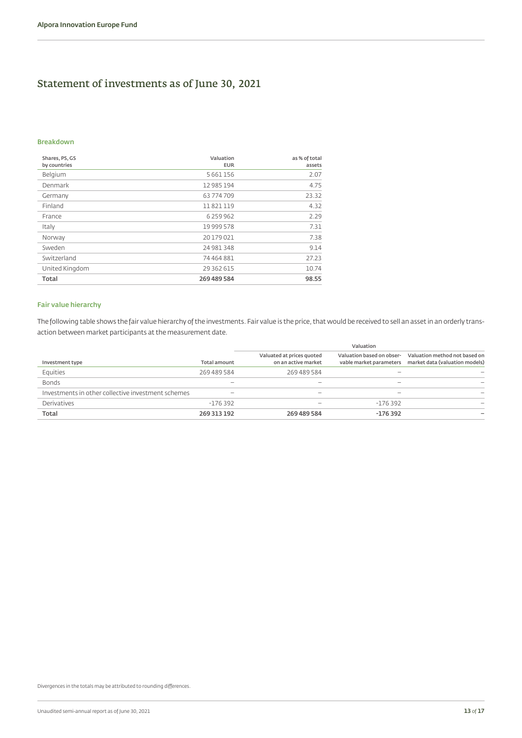# Statement of investments as of June 30, 2021

#### **Breakdown**

| Shares, PS, GS<br>by countries | Valuation<br><b>EUR</b> | as % of total<br>assets |
|--------------------------------|-------------------------|-------------------------|
| Belgium                        | 5 661 156               | 2.07                    |
| Denmark                        | 12 985 194              | 4.75                    |
| Germany                        | 63774709                | 23.32                   |
| Finland                        | 11821119                | 4.32                    |
| France                         | 6 259 962               | 2.29                    |
| Italy                          | 19 999 578              | 7.31                    |
| Norway                         | 20179021                | 7.38                    |
| Sweden                         | 24 981 348              | 9.14                    |
| Switzerland                    | 74 464 881              | 27.23                   |
| United Kingdom                 | 29 362 615              | 10.74                   |
| Total                          | 269 489 584             | 98.55                   |

#### **Fair value hierarchy**

The following table shows the fair value hierarchy of the investments. Fair value is the price, that would be received to sell an asset in an orderly transaction between market participants at the measurement date.

|                                                    |                          | Valuation                                        |                                                      |                                                                 |  |
|----------------------------------------------------|--------------------------|--------------------------------------------------|------------------------------------------------------|-----------------------------------------------------------------|--|
| Investment type                                    | <b>Total amount</b>      | Valuated at prices quoted<br>on an active market | Valuation based on obser-<br>vable market parameters | Valuation method not based on<br>market data (valuation models) |  |
| Equities                                           | 269 489 584              | 269 489 584                                      |                                                      |                                                                 |  |
| <b>Bonds</b>                                       |                          |                                                  |                                                      |                                                                 |  |
| Investments in other collective investment schemes | $\overline{\phantom{0}}$ | $\hspace{0.05cm}$                                |                                                      |                                                                 |  |
| Derivatives                                        | $-176.392$               | $\hspace{0.05cm}$                                | $-176.392$                                           |                                                                 |  |
| Total                                              | 269 313 192              | 269 489 584                                      | $-176392$                                            |                                                                 |  |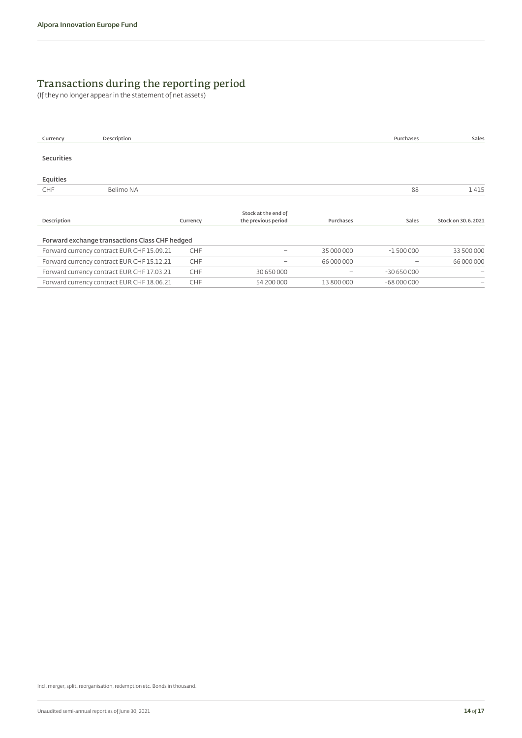# Transactions during the reporting period

(If they no longer appear in the statement of net assets)

| Currency                                       | Description                                |            |                                            |            | Purchases   | Sales                    |  |
|------------------------------------------------|--------------------------------------------|------------|--------------------------------------------|------------|-------------|--------------------------|--|
| <b>Securities</b>                              |                                            |            |                                            |            |             |                          |  |
| Equities                                       |                                            |            |                                            |            |             |                          |  |
| CHF                                            | Belimo NA                                  |            |                                            |            | 88          | 1415                     |  |
| Description                                    |                                            | Currency   | Stock at the end of<br>the previous period | Purchases  | Sales       | Stock on 30.6.2021       |  |
| Forward exchange transactions Class CHF hedged |                                            |            |                                            |            |             |                          |  |
|                                                | Forward currency contract EUR CHF 15.09.21 | <b>CHF</b> | $\overline{\phantom{m}}$                   | 35 000 000 | $-1500000$  | 33 500 000               |  |
|                                                | Forward currency contract EUR CHF 15.12.21 | <b>CHF</b> | $\overline{\phantom{m}}$                   | 66 000 000 |             | 66 000 000               |  |
|                                                | Forward currency contract EUR CHF 17.03.21 | <b>CHF</b> | 30 650 000                                 |            | $-30650000$ | $\overline{\phantom{0}}$ |  |
|                                                | Forward currency contract EUR CHF 18.06.21 | <b>CHF</b> | 54 200 000                                 | 13 800 000 | $-68000000$ | $\overline{\phantom{0}}$ |  |

Incl. merger, split, reorganisation, redemption etc. Bonds in thousand.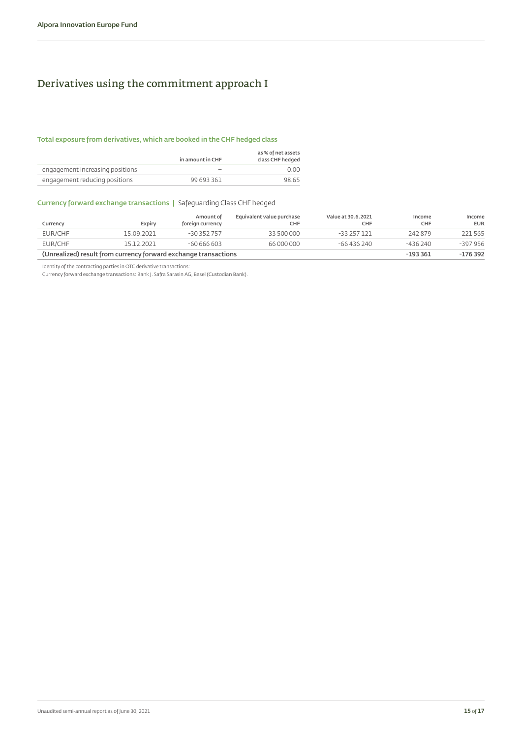# <span id="page-14-0"></span>Derivatives using the commitment approach I

#### **Total exposure from derivatives, which are booked in the CHF hedged class**

|                                 | in amount in CHF | as % of net assets<br>class CHF hedged |
|---------------------------------|------------------|----------------------------------------|
| engagement increasing positions |                  | n nn                                   |
| engagement reducing positions   | 99 693 361       | 98.65                                  |

#### **Currency forward exchange transactions |** Safeguarding Class CHF hedged

|                                                                 |            | Amount of        | Equivalent value purchase | Value at 30.6.2021 | Income     | Income     |
|-----------------------------------------------------------------|------------|------------------|---------------------------|--------------------|------------|------------|
| Currency                                                        | Expirv     | foreign currency | CHF                       | <b>CHF</b>         | <b>CHF</b> | <b>EUR</b> |
| EUR/CHF                                                         | 15.09.2021 | $-30.352.757$    | 33 500 000                | -33 257 1 21       | 242879     | 221 565    |
| EUR/CHF                                                         | 15.12.2021 | $-60666603$      | 66 000 000                | $-66436240$        | $-436240$  | $-397956$  |
| (Unrealized) result from currency forward exchange transactions |            |                  |                           | $-193361$          | $-176392$  |            |

Identity of the contracting parties in OTC derivative transactions:

Currency forward exchange transactions: Bank J. Safra Sarasin AG, Basel (Custodian Bank).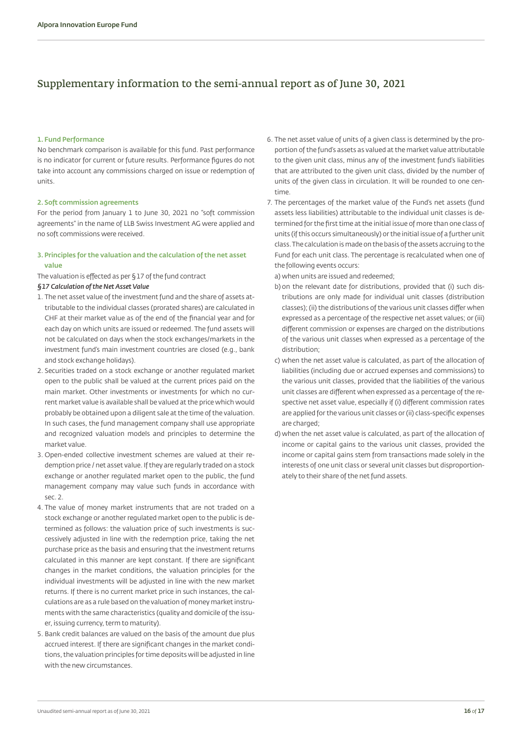### <span id="page-15-0"></span>Supplementary information to the semi-annual report as of June 30, 2021

#### **1. Fund Performance**

No benchmark comparison is available for this fund. Past performance is no indicator for current or future results. Performance figures do not take into account any commissions charged on issue or redemption of units.

#### **2. Soft commission agreements**

For the period from January 1 to June 30, 2021 no "soft commission agreements" in the name of LLB Swiss Investment AG were applied and no soft commissions were received.

#### **3. Principles for the valuation and the calculation of the net asset value**

The valuation is effected as per §17 of the fund contract

#### *§17 Calculation of the Net Asset Value*

- 1. The net asset value of the investment fund and the share of assets attributable to the individual classes (prorated shares) are calculated in CHF at their market value as of the end of the financial year and for each day on which units are issued or redeemed. The fund assets will not be calculated on days when the stock exchanges/markets in the investment fund's main investment countries are closed (e.g., bank and stock exchange holidays).
- 2. Securities traded on a stock exchange or another regulated market open to the public shall be valued at the current prices paid on the main market. Other investments or investments for which no current market value is available shall be valued at the price which would probably be obtained upon a diligent sale at the time of the valuation. In such cases, the fund management company shall use appropriate and recognized valuation models and principles to determine the market value.
- 3. Open-ended collective investment schemes are valued at their redemption price / net asset value. If they are regularly traded on a stock exchange or another regulated market open to the public, the fund management company may value such funds in accordance with sec. 2.
- 4. The value of money market instruments that are not traded on a stock exchange or another regulated market open to the public is determined as follows: the valuation price of such investments is successively adjusted in line with the redemption price, taking the net purchase price as the basis and ensuring that the investment returns calculated in this manner are kept constant. If there are significant changes in the market conditions, the valuation principles for the individual investments will be adjusted in line with the new market returns. If there is no current market price in such instances, the calculations are as a rule based on the valuation of money market instruments with the same characteristics (quality and domicile of the issuer, issuing currency, term to maturity).
- 5. Bank credit balances are valued on the basis of the amount due plus accrued interest. If there are significant changes in the market conditions, the valuation principles for time deposits will be adjusted in line with the new circumstances.
- 6. The net asset value of units of a given class is determined by the proportion of the fund's assets as valued at the market value attributable to the given unit class, minus any of the investment fund's liabilities that are attributed to the given unit class, divided by the number of units of the given class in circulation. It will be rounded to one centime.
- 7. The percentages of the market value of the Fund's net assets (fund assets less liabilities) attributable to the individual unit classes is determined for the first time at the initial issue of more than one class of units (if this occurs simultaneously) or the initial issue of a further unit class. The calculation is made on the basis of the assets accruing to the Fund for each unit class. The percentage is recalculated when one of the following events occurs:

a) when units are issued and redeemed;

- b) on the relevant date for distributions, provided that (i) such distributions are only made for individual unit classes (distribution classes); (ii) the distributions of the various unit classes differ when expressed as a percentage of the respective net asset values; or (iii) different commission or expenses are charged on the distributions of the various unit classes when expressed as a percentage of the distribution;
- c) when the net asset value is calculated, as part of the allocation of liabilities (including due or accrued expenses and commissions) to the various unit classes, provided that the liabilities of the various unit classes are different when expressed as a percentage of the respective net asset value, especially if (i) different commission rates are applied for the various unit classes or (ii) class-specific expenses are charged;
- d) when the net asset value is calculated, as part of the allocation of income or capital gains to the various unit classes, provided the income or capital gains stem from transactions made solely in the interests of one unit class or several unit classes but disproportionately to their share of the net fund assets.